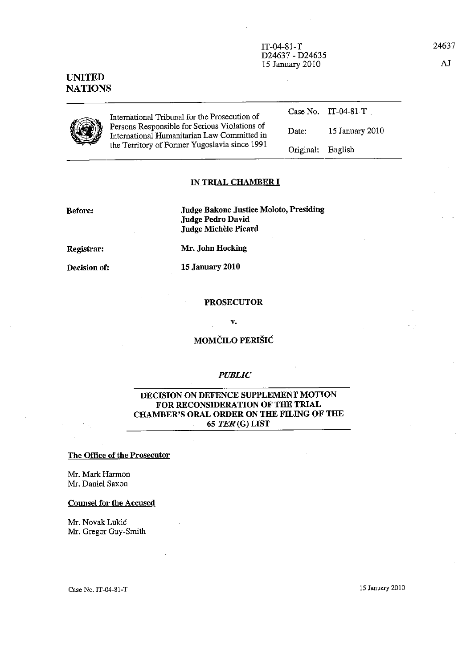IT-04-81-T D24637 - D24635 15 January 2010

UNITED **NATIONS** 



International Tribunal for the Prosecution of Persons Responsible for Serious Violations of International Humanitarian Law Committed in the Territory of Former Yugoslavia since 1991

Case No. IT-04-81-T . Date: 15 January 2010 Original: English

#### IN TRIAL CHAMBER I

Before:

Judge Bakone Justice Moloto, Presiding Judge Pedro David Judge Michèle Picard

Registrar:

Decision of:

15 January 2010

Mr. John Hocking

#### PROSECUTOR

v.

# MOMCILO PERISIC

## *PUBLIC*

# DECISION ON DEFENCE SUPPLEMENT MOTION FOR RECONSIDERATION OF THE TRIAL CHAMBER'S ORAL ORDER ON THE FILING OF THE 65 TER(G) LIST

#### The Office of the Prosecntor

Mr. Mark Harmon Mr. Daniel Saxon

# Counsel for the Accused

Mr. Novak Lukic Mr. Gregor Guy-Smith

Case No. IT-04-81-T 15 January 2010

24637

AJ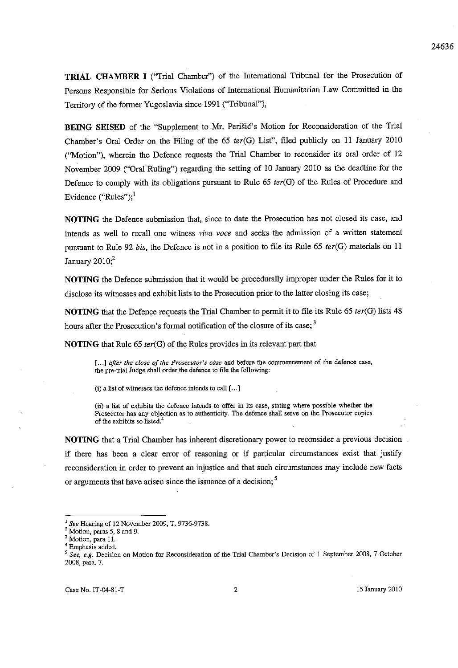**TRIAL CHAMBER I** ("Trial Chamber") of the International Tribunal for the Prosecution of Persons Responsible for Serious Violations of International Humanitarian Law Committed in the Territory of the former Yugoslavia since 1991 (''Tribunal''),

BEING SEISED of the "Supplement to Mr. Perišic's Motion for Reconsideration of the Trial Chamber's Oral Order on the Filing of the 65 *ter(G)* List", filed publicly on 11 January 2010 ("Motion"), wherein the Defence requests the Trial Chamber to reconsider its oral order of 12 November 2009 ("Oral Ruling") regarding the setting of 10 January 2010 as the deadline for the Defence to comply with its obligations pursuant to Rule 65 *ter(G)* of the Rules of Procedure and Evidence ("Rules");<sup>1</sup>

NOTING the Defence submission that, since to date the Prosecution has not closed its case, and intends as well to recall one witness *viva voce* and seeks the admission of a written statement pursuant to Rule 92 *bis*, the Defence is not in a position to file its Rule 65 *ter(G)* materials on 11 January  $2010$ ;<sup>2</sup>

NOTING the Defence submission that it would be procedurally improper under the Rules for it to disclose its witnesses and exhibit lists to the Prosecution prior to the latter closing its case;

NOTING that the Defence requests the Trial Chamber to permit it to file its Rule 65 *ter(G)* lists 48 hours after the Prosecution's formal notification of the closure of its case;<sup>3</sup>

NOTING that Rule 65 *ter(G)* of the Rules provides in its relevant part that

**[ ... ]** *after the close of the Prosecutor's case* **and before the commencement of the defence case, the prewtrial Judge shall order the defence to file the following;** 

**(i) a list of witnesses the defence intends to call [ ... ]** 

(ii) a list of exhibits the defence intends to offer in its case, stating where possible whether the **Prosecutor has any objection as to authenticity. The defence shall serve on the Prosecutor copies of the exhibits so Iisted.<sup>4</sup>**

NOTING that a Trial Chamber has inherent discretionary power to reconsider a previous decision if there has been a clear error of reasoning or if particular circumstances exist that justify reconsideration in order to prevent an injustice and that such circumstances may include new facts or arguments that have arisen since the issuance of a decision;<sup>5</sup>

<sup>I</sup>*See* Hearing of 12 November 2009, T. 9736-9738.

**<sup>2</sup> Motion, paras 5, 8 and 9.** 

**<sup>3</sup> Motion, para 11.** 

**<sup>4</sup> Emphasis added.** 

*<sup>S</sup>See, e.g.* **Decision on Motion for Reconsideration of the Trial Chamber's Decision of 1 September 2008, 7 October**  2008, para. 7.